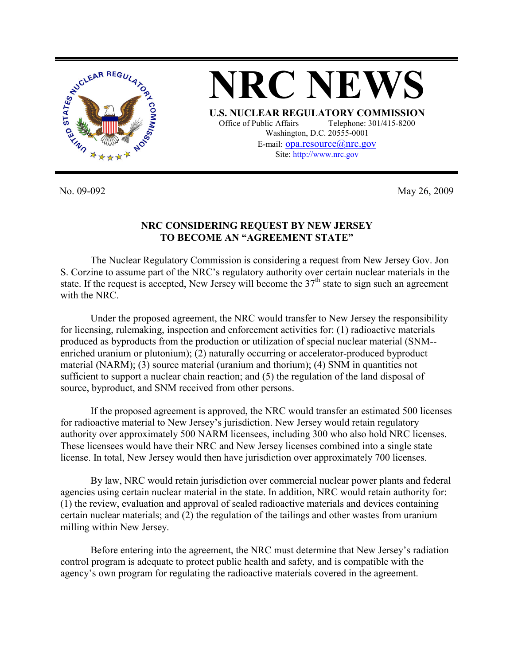

No. 09-092 May 26, 2009

## **NRC CONSIDERING REQUEST BY NEW JERSEY TO BECOME AN "AGREEMENT STATE"**

The Nuclear Regulatory Commission is considering a request from New Jersey Gov. Jon S. Corzine to assume part of the NRC's regulatory authority over certain nuclear materials in the state. If the request is accepted, New Jersey will become the  $37<sup>th</sup>$  state to sign such an agreement with the NRC.

Under the proposed agreement, the NRC would transfer to New Jersey the responsibility for licensing, rulemaking, inspection and enforcement activities for: (1) radioactive materials produced as byproducts from the production or utilization of special nuclear material (SNM- enriched uranium or plutonium); (2) naturally occurring or accelerator-produced byproduct material (NARM); (3) source material (uranium and thorium); (4) SNM in quantities not sufficient to support a nuclear chain reaction; and (5) the regulation of the land disposal of source, byproduct, and SNM received from other persons.

If the proposed agreement is approved, the NRC would transfer an estimated 500 licenses for radioactive material to New Jersey's jurisdiction. New Jersey would retain regulatory authority over approximately 500 NARM licensees, including 300 who also hold NRC licenses. These licensees would have their NRC and New Jersey licenses combined into a single state license. In total, New Jersey would then have jurisdiction over approximately 700 licenses.

By law, NRC would retain jurisdiction over commercial nuclear power plants and federal agencies using certain nuclear material in the state. In addition, NRC would retain authority for: (1) the review, evaluation and approval of sealed radioactive materials and devices containing certain nuclear materials; and (2) the regulation of the tailings and other wastes from uranium milling within New Jersey.

Before entering into the agreement, the NRC must determine that New Jersey's radiation control program is adequate to protect public health and safety, and is compatible with the agency's own program for regulating the radioactive materials covered in the agreement.